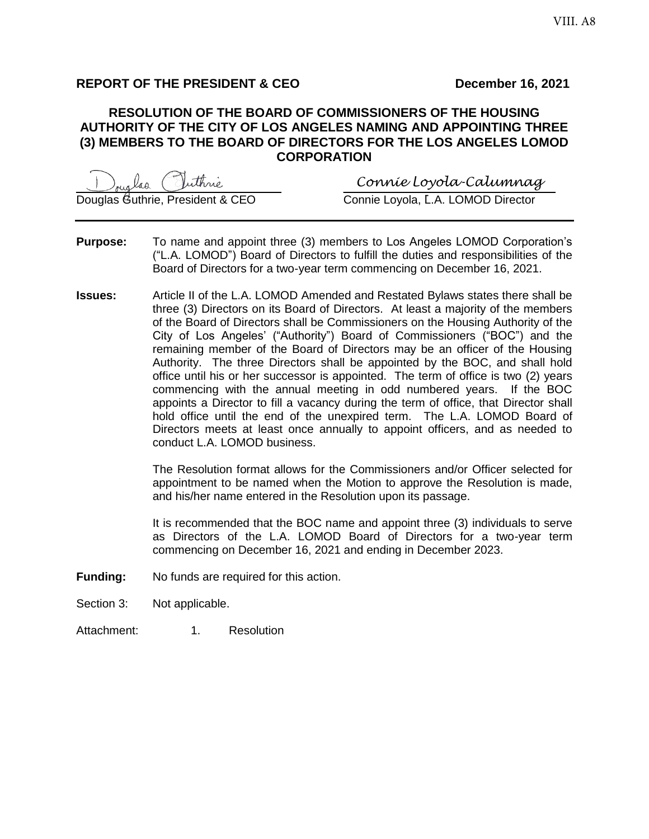# **REPORT OF THE PRESIDENT & CEO December 16, 2021**

## **RESOLUTION OF THE BOARD OF COMMISSIONERS OF THE HOUSING AUTHORITY OF THE CITY OF LOS ANGELES NAMING AND APPOINTING THREE (3) MEMBERS TO THE BOARD OF DIRECTORS FOR THE LOS ANGELES LOMOD CORPORATION**

\_\_\_\_\_\_\_\_\_\_\_\_\_\_\_\_\_\_\_\_\_\_\_\_\_\_\_\_\_ \_\_\_\_\_\_\_\_\_\_\_\_\_\_\_\_\_\_\_\_\_\_\_\_\_\_\_\_\_\_ *Connie Loyola-Calumnag*

Douglas Guthrie, President & CEO Connie Loyola, L.A. LOMOD Director

- **Purpose:** To name and appoint three (3) members to Los Angeles LOMOD Corporation's ("L.A. LOMOD") Board of Directors to fulfill the duties and responsibilities of the Board of Directors for a two-year term commencing on December 16, 2021.
- **Issues:** Article II of the L.A. LOMOD Amended and Restated Bylaws states there shall be three (3) Directors on its Board of Directors. At least a majority of the members of the Board of Directors shall be Commissioners on the Housing Authority of the City of Los Angeles' ("Authority") Board of Commissioners ("BOC") and the remaining member of the Board of Directors may be an officer of the Housing Authority. The three Directors shall be appointed by the BOC, and shall hold office until his or her successor is appointed. The term of office is two (2) years commencing with the annual meeting in odd numbered years. If the BOC appoints a Director to fill a vacancy during the term of office, that Director shall hold office until the end of the unexpired term. The L.A. LOMOD Board of Directors meets at least once annually to appoint officers, and as needed to conduct L.A. LOMOD business.

The Resolution format allows for the Commissioners and/or Officer selected for appointment to be named when the Motion to approve the Resolution is made, and his/her name entered in the Resolution upon its passage.

It is recommended that the BOC name and appoint three (3) individuals to serve as Directors of the L.A. LOMOD Board of Directors for a two-year term commencing on December 16, 2021 and ending in December 2023.

- **Funding:** No funds are required for this action.
- Section 3: Not applicable.
- Attachment: 1. Resolution